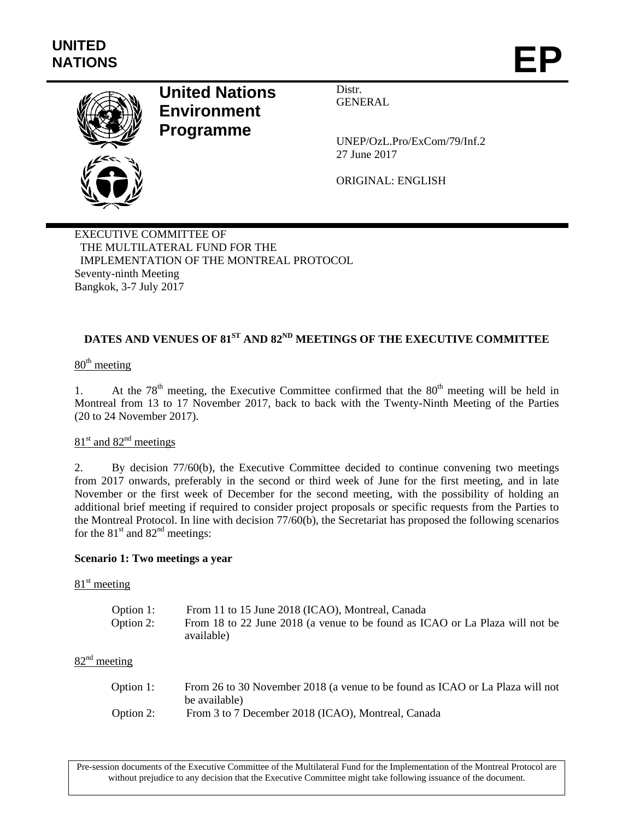

# **United Nations Environment Programme**

Distr. GENERAL

UNEP/OzL.Pro/ExCom/79/Inf.2 27 June 2017

ORIGINAL: ENGLISH

EXECUTIVE COMMITTEE OF THE MULTILATERAL FUND FOR THE IMPLEMENTATION OF THE MONTREAL PROTOCOL Seventy-ninth Meeting Bangkok, 3-7 July 2017

## DATES AND VENUES OF 81<sup>ST</sup> AND 82<sup>ND</sup> MEETINGS OF THE EXECUTIVE COMMITTEE

## 80<sup>th</sup> meeting

1. At the  $78<sup>th</sup>$  meeting, the Executive Committee confirmed that the  $80<sup>th</sup>$  meeting will be held in Montreal from 13 to 17 November 2017, back to back with the Twenty-Ninth Meeting of the Parties (20 to 24 November 2017).

## $81<sup>st</sup>$  and  $82<sup>nd</sup>$  meetings

2. By decision 77/60(b), the Executive Committee decided to continue convening two meetings from 2017 onwards, preferably in the second or third week of June for the first meeting, and in late November or the first week of December for the second meeting, with the possibility of holding an additional brief meeting if required to consider project proposals or specific requests from the Parties to the Montreal Protocol. In line with decision 77/60(b), the Secretariat has proposed the following scenarios for the  $81<sup>st</sup>$  and  $82<sup>nd</sup>$  meetings:

#### **Scenario 1: Two meetings a year**

#### $81<sup>st</sup>$  meeting

| Option 1: | From 11 to 15 June 2018 (ICAO), Montreal, Canada                             |
|-----------|------------------------------------------------------------------------------|
| Option 2: | From 18 to 22 June 2018 (a venue to be found as ICAO or La Plaza will not be |
|           | available)                                                                   |

### $82<sup>nd</sup>$  meeting

| Option 1: | From 26 to 30 November 2018 (a venue to be found as ICAO or La Plaza will not |
|-----------|-------------------------------------------------------------------------------|
|           | be available)                                                                 |
| Option 2: | From 3 to 7 December 2018 (ICAO), Montreal, Canada                            |

Pre-session documents of the Executive Committee of the Multilateral Fund for the Implementation of the Montreal Protocol are without prejudice to any decision that the Executive Committee might take following issuance of the document.